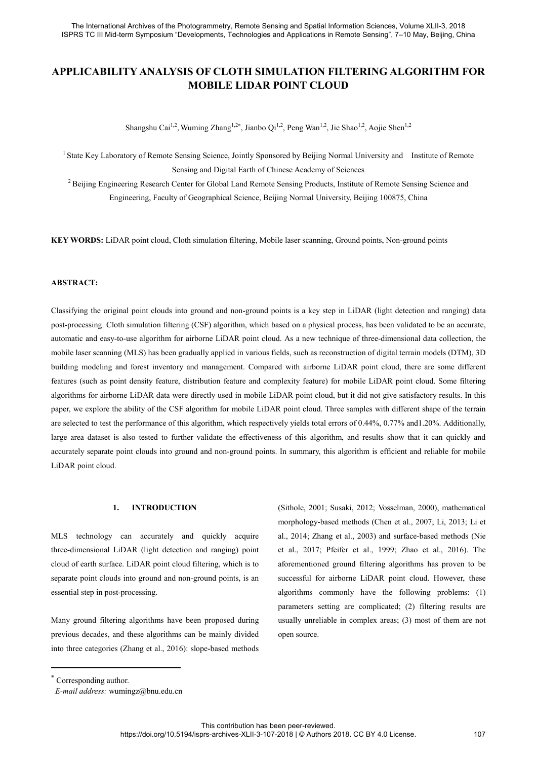# **APPLICABILITY ANALYSIS OF CLOTH SIMULATION FILTERING ALGORITHM FOR MOBILE LIDAR POINT CLOUD**

Shangshu Cai<sup>1,2</sup>, Wuming Zhang<sup>1,2\*</sup>, Jianbo Qi<sup>1,2</sup>, Peng Wan<sup>1,2</sup>, Jie Shao<sup>1,2</sup>, Aojie Shen<sup>1,2</sup>

<sup>1</sup> State Key Laboratory of Remote Sensing Science, Jointly Sponsored by Beijing Normal University and Institute of Remote Sensing and Digital Earth of Chinese Academy of Sciences

<sup>2</sup> Beijing Engineering Research Center for Global Land Remote Sensing Products, Institute of Remote Sensing Science and Engineering, Faculty of Geographical Science, Beijing Normal University, Beijing 100875, China

**KEY WORDS:** LiDAR point cloud, Cloth simulation filtering, Mobile laser scanning, Ground points, Non-ground points

### **ABSTRACT:**

Classifying the original point clouds into ground and non-ground points is a key step in LiDAR (light detection and ranging) data post-processing. Cloth simulation filtering (CSF) algorithm, which based on a physical process, has been validated to be an accurate, automatic and easy-to-use algorithm for airborne LiDAR point cloud. As a new technique of three-dimensional data collection, the mobile laser scanning (MLS) has been gradually applied in various fields, such as reconstruction of digital terrain models (DTM), 3D building modeling and forest inventory and management. Compared with airborne LiDAR point cloud, there are some different features (such as point density feature, distribution feature and complexity feature) for mobile LiDAR point cloud. Some filtering algorithms for airborne LiDAR data were directly used in mobile LiDAR point cloud, but it did not give satisfactory results. In this paper, we explore the ability of the CSF algorithm for mobile LiDAR point cloud. Three samples with different shape of the terrain are selected to test the performance of this algorithm, which respectively yields total errors of 0.44%, 0.77% and1.20%. Additionally, large area dataset is also tested to further validate the effectiveness of this algorithm, and results show that it can quickly and accurately separate point clouds into ground and non-ground points. In summary, this algorithm is efficient and reliable for mobile LiDAR point cloud.

## **1. INTRODUCTION**

MLS technology can accurately and quickly acquire three-dimensional LiDAR (light detection and ranging) point cloud of earth surface. LiDAR point cloud filtering, which is to separate point clouds into ground and non-ground points, is an essential step in post-processing.

Many ground filtering algorithms have been proposed during previous decades, and these algorithms can be mainly divided into three categories (Zhang et al., 2016): slope-based methods (Sithole, 2001; Susaki, 2012; Vosselman, 2000), mathematical morphology-based methods (Chen et al., 2007; Li, 2013; Li et al., 2014; Zhang et al., 2003) and surface-based methods (Nie et al., 2017; Pfeifer et al., 1999; Zhao et al., 2016). The aforementioned ground filtering algorithms has proven to be successful for airborne LiDAR point cloud. However, these algorithms commonly have the following problems: (1) parameters setting are complicated; (2) filtering results are usually unreliable in complex areas; (3) most of them are not open source.

Corresponding author.

-

*E-mail address:* wumingz@bnu.edu.cn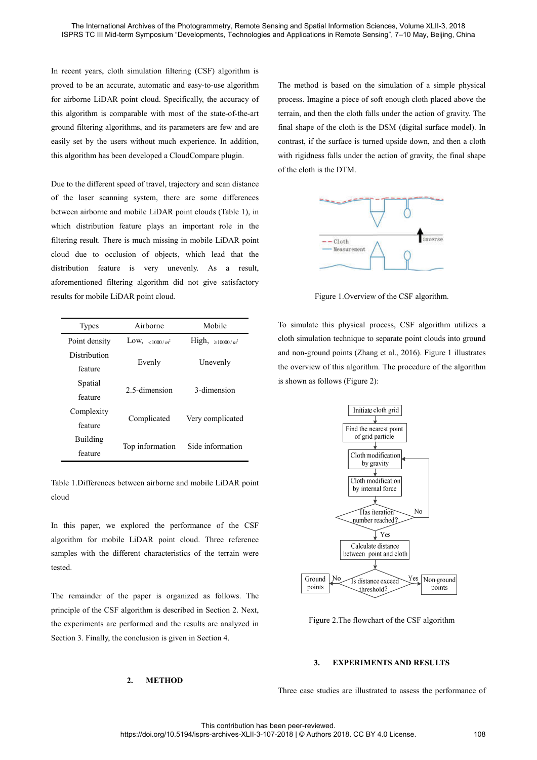In recent years, cloth simulation filtering (CSF) algorithm is proved to be an accurate, automatic and easy-to-use algorithm for airborne LiDAR point cloud. Specifically, the accuracy of this algorithm is comparable with most of the state-of-the-art ground filtering algorithms, and its parameters are few and are easily set by the users without much experience. In addition, this algorithm has been developed a CloudCompare plugin.

Due to the different speed of travel, trajectory and scan distance of the laser scanning system, there are some differences between airborne and mobile LiDAR point clouds (Table 1), in which distribution feature plays an important role in the filtering result. There is much missing in mobile LiDAR point cloud due to occlusion of objects, which lead that the distribution feature is very unevenly. As a result, aforementioned filtering algorithm did not give satisfactory results for mobile LiDAR point cloud.

| <b>Types</b>  | Airborne          | Mobile              |  |
|---------------|-------------------|---------------------|--|
| Point density | Low, <1000/ $m^2$ | High, ≥10000/ $m^2$ |  |
| Distribution  | Evenly            | Unevenly            |  |
| feature       |                   |                     |  |
| Spatial       | 2.5-dimension     | 3-dimension         |  |
| feature       |                   |                     |  |
| Complexity    | Complicated       | Very complicated    |  |
| feature       |                   |                     |  |
| Building      | Top information   | Side information    |  |
| feature       |                   |                     |  |

Table 1.Differences between airborne and mobile LiDAR point cloud

In this paper, we explored the performance of the CSF algorithm for mobile LiDAR point cloud. Three reference samples with the different characteristics of the terrain were tested.

The remainder of the paper is organized as follows. The principle of the CSF algorithm is described in Section 2. Next, the experiments are performed and the results are analyzed in Section 3. Finally, the conclusion is given in Section 4.

#### **2. METHOD**

The method is based on the simulation of a simple physical process. Imagine a piece of soft enough cloth placed above the terrain, and then the cloth falls under the action of gravity. The final shape of the cloth is the DSM (digital surface model). In contrast, if the surface is turned upside down, and then a cloth with rigidness falls under the action of gravity, the final shape of the cloth is the DTM.



Figure 1.Overview of the CSF algorithm.

To simulate this physical process, CSF algorithm utilizes a cloth simulation technique to separate point clouds into ground and non-ground points (Zhang et al., 2016). Figure 1 illustrates the overview of this algorithm. The procedure of the algorithm is shown as follows (Figure 2):



Figure 2.The flowchart of the CSF algorithm

#### **3. EXPERIMENTS AND RESULTS**

Three case studies are illustrated to assess the performance of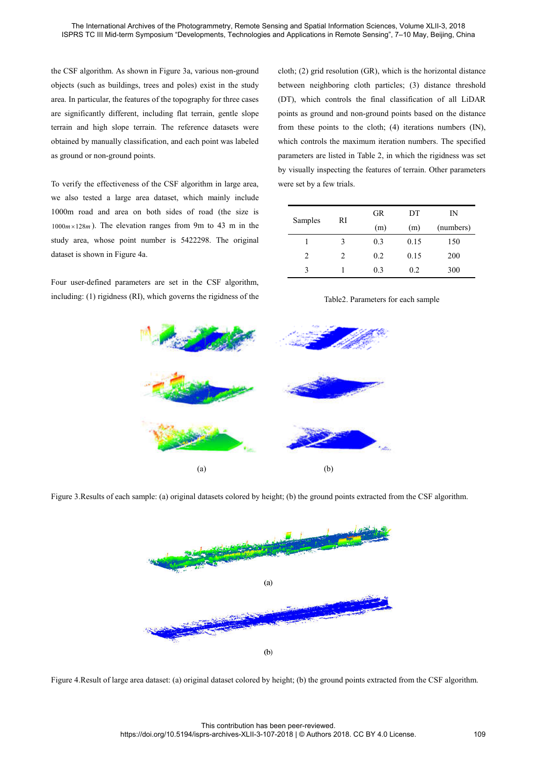the CSF algorithm. As shown in Figure 3a, various non-ground objects (such as buildings, trees and poles) exist in the study area. In particular, the features of the topography for three cases are significantly different, including flat terrain, gentle slope terrain and high slope terrain. The reference datasets were obtained by manually classification, and each point was labeled as ground or non-ground points.

To verify the effectiveness of the CSF algorithm in large area, we also tested a large area dataset, which mainly include 1000m road and area on both sides of road (the size is  $1000 m \times 128 m$ ). The elevation ranges from 9m to 43 m in the study area, whose point number is 5422298. The original dataset is shown in Figure 4a.

Four user-defined parameters are set in the CSF algorithm, including: (1) rigidness (RI), which governs the rigidness of the cloth; (2) grid resolution (GR), which is the horizontal distance between neighboring cloth particles; (3) distance threshold (DT), which controls the final classification of all LiDAR points as ground and non-ground points based on the distance from these points to the cloth; (4) iterations numbers (IN), which controls the maximum iteration numbers. The specified parameters are listed in Table 2, in which the rigidness was set by visually inspecting the features of terrain. Other parameters were set by a few trials.

| Samples | RI             | GR  | DТ   | IN        |
|---------|----------------|-----|------|-----------|
|         |                | (m) | (m)  | (numbers) |
|         | 3              | 0.3 | 0.15 | 150       |
| 2       | $\mathfrak{D}$ | 0.2 | 0.15 | 200       |
| ٩       |                | 0.3 | 0.2  | 300       |

### Table2. Parameters for each sample



Figure 3.Results of each sample: (a) original datasets colored by height; (b) the ground points extracted from the CSF algorithm.



Figure 4.Result of large area dataset: (a) original dataset colored by height; (b) the ground points extracted from the CSF algorithm.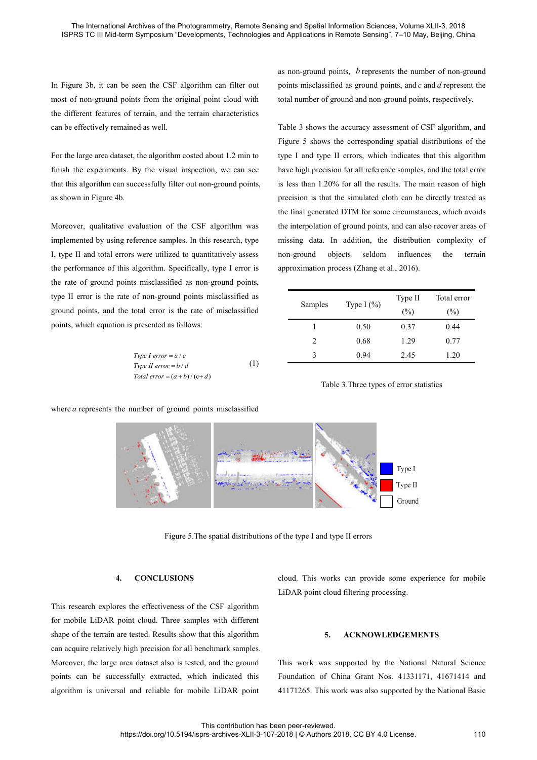In Figure 3b, it can be seen the CSF algorithm can filter out most of non-ground points from the original point cloud with the different features of terrain, and the terrain characteristics can be effectively remained as well.

For the large area dataset, the algorithm costed about 1.2 min to finish the experiments. By the visual inspection, we can see that this algorithm can successfully filter out non-ground points, as shown in Figure 4b.

Moreover, qualitative evaluation of the CSF algorithm was implemented by using reference samples. In this research, type I, type II and total errors were utilized to quantitatively assess the performance of this algorithm. Specifically, type I error is the rate of ground points misclassified as non-ground points, type II error is the rate of non-ground points misclassified as ground points, and the total error is the rate of misclassified points, which equation is presented as follows:

*Type I error* = 
$$
a/c
$$
  
\n*Type II error* =  $b/d$  (1)  
\n*Total error* =  $(a + b)/(c+d)$ 

as non-ground points, *b* represents the number of non-ground points misclassified as ground points, and *c* and *d* represent the total number of ground and non-ground points, respectively.

Table 3 shows the accuracy assessment of CSF algorithm, and Figure 5 shows the corresponding spatial distributions of the type I and type II errors, which indicates that this algorithm have high precision for all reference samples, and the total error is less than 1.20% for all the results. The main reason of high precision is that the simulated cloth can be directly treated as the final generated DTM for some circumstances, which avoids the interpolation of ground points, and can also recover areas of missing data. In addition, the distribution complexity of non-ground objects seldom influences the terrain approximation process (Zhang et al., 2016).

| Samples        | Type I $(\% )$ | Type II | Total error |
|----------------|----------------|---------|-------------|
|                |                | (%)     | $(\%)$      |
|                | 0.50           | 0.37    | 0.44        |
| $\mathfrak{D}$ | 0.68           | 1.29    | 0.77        |
| 3              | 0.94           | 2.45    | 1.20        |





where *a* represents the number of ground points misclassified

Figure 5.The spatial distributions of the type I and type II errors

# **4. CONCLUSIONS**

This research explores the effectiveness of the CSF algorithm for mobile LiDAR point cloud. Three samples with different shape of the terrain are tested. Results show that this algorithm can acquire relatively high precision for all benchmark samples. Moreover, the large area dataset also is tested, and the ground points can be successfully extracted, which indicated this algorithm is universal and reliable for mobile LiDAR point

cloud. This works can provide some experience for mobile LiDAR point cloud filtering processing.

#### **5. ACKNOWLEDGEMENTS**

This work was supported by the National Natural Science Foundation of China Grant Nos. 41331171, 41671414 and 41171265. This work was also supported by the National Basic